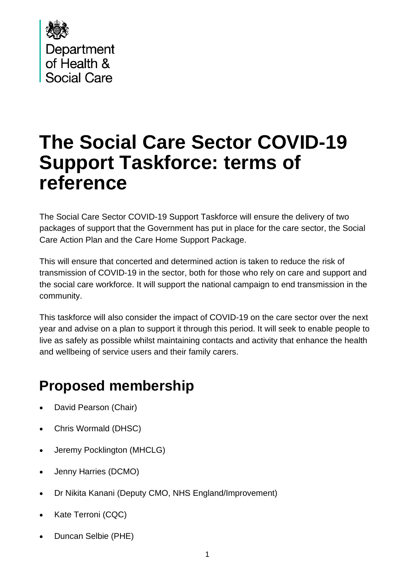

# **The Social Care Sector COVID-19 Support Taskforce: terms of reference**

The Social Care Sector COVID-19 Support Taskforce will ensure the delivery of two packages of support that the Government has put in place for the care sector, the Social Care Action Plan and the Care Home Support Package.

This will ensure that concerted and determined action is taken to reduce the risk of transmission of COVID-19 in the sector, both for those who rely on care and support and the social care workforce. It will support the national campaign to end transmission in the community.

This taskforce will also consider the impact of COVID-19 on the care sector over the next year and advise on a plan to support it through this period. It will seek to enable people to live as safely as possible whilst maintaining contacts and activity that enhance the health and wellbeing of service users and their family carers.

### **Proposed membership**

- David Pearson (Chair)
- Chris Wormald (DHSC)
- Jeremy Pocklington (MHCLG)
- Jenny Harries (DCMO)
- Dr Nikita Kanani (Deputy CMO, NHS England/Improvement)
- Kate Terroni (CQC)
- Duncan Selbie (PHE)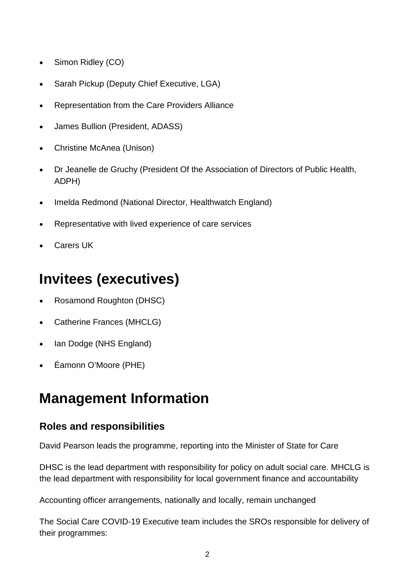- Simon Ridley (CO)
- Sarah Pickup (Deputy Chief Executive, LGA)
- Representation from the Care Providers Alliance
- James Bullion (President, ADASS)
- Christine McAnea (Unison)
- Dr Jeanelle de Gruchy (President Of the Association of Directors of Public Health, ADPH)
- Imelda Redmond (National Director, Healthwatch England)
- Representative with lived experience of care services
- Carers UK

# **Invitees (executives)**

- Rosamond Roughton (DHSC)
- Catherine Frances (MHCLG)
- Ian Dodge (NHS England)
- Éamonn O'Moore (PHE)

## **Management Information**

#### **Roles and responsibilities**

David Pearson leads the programme, reporting into the Minister of State for Care

DHSC is the lead department with responsibility for policy on adult social care. MHCLG is the lead department with responsibility for local government finance and accountability

Accounting officer arrangements, nationally and locally, remain unchanged

The Social Care COVID-19 Executive team includes the SROs responsible for delivery of their programmes: